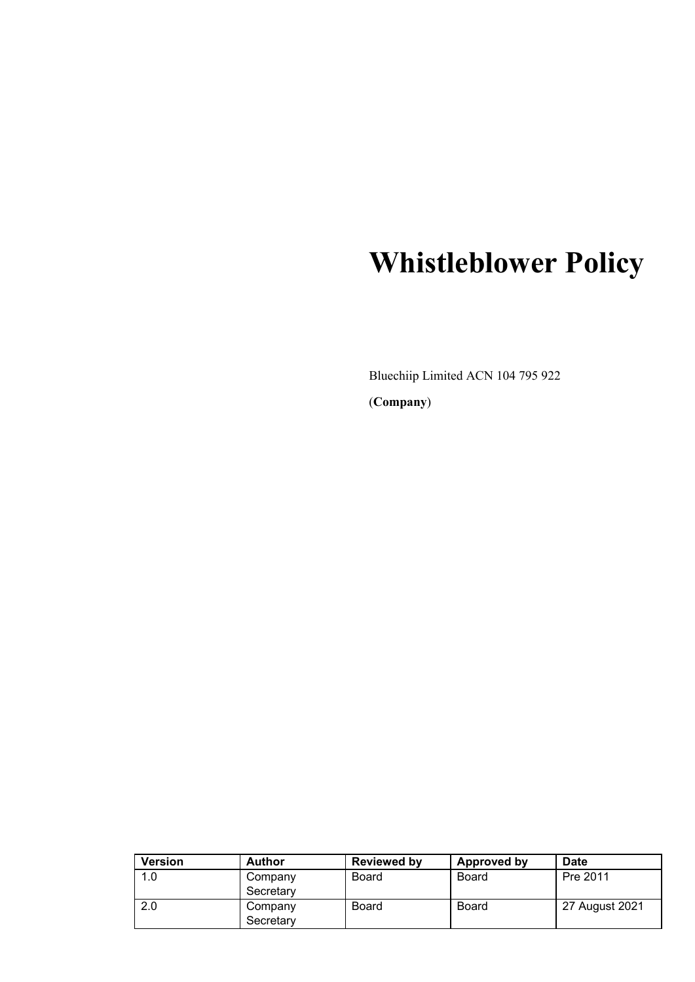# **Whistleblower Policy**

Bluechiip Limited ACN 104 795 922 (**Company**)

| <b>Version</b> | <b>Author</b>        | Reviewed by  | Approved by  | Date           |
|----------------|----------------------|--------------|--------------|----------------|
| 1.0            | Company              | Board        | Board        | Pre 2011       |
|                | Secretary            |              |              |                |
| 2.0            | Company<br>Secretary | <b>Board</b> | <b>Board</b> | 27 August 2021 |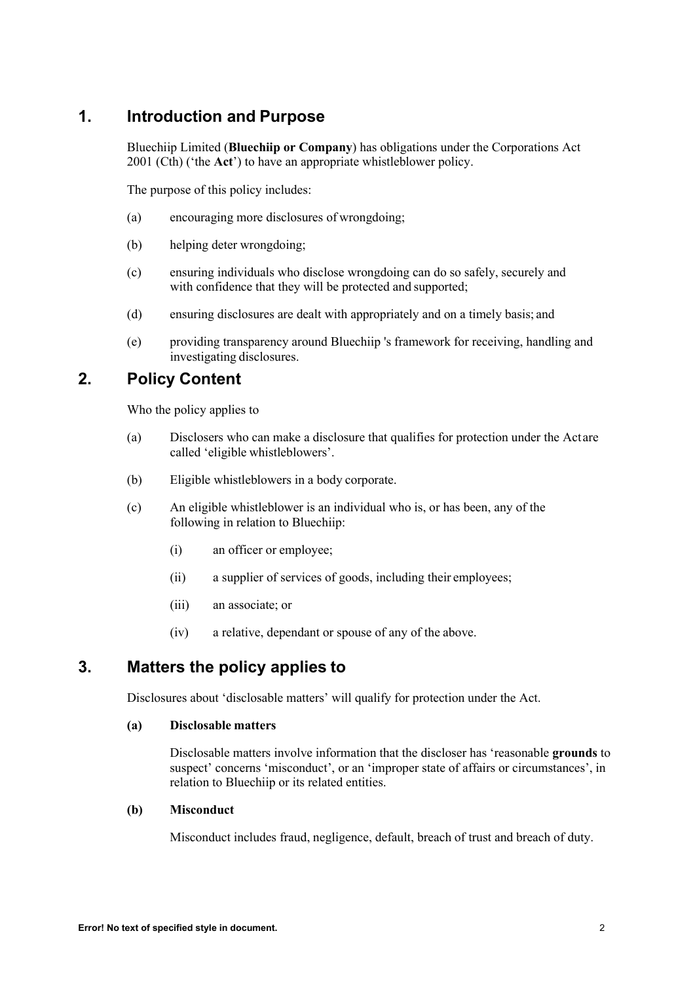# **1. Introduction and Purpose**

Bluechiip Limited (**Bluechiip or Company**) has obligations under the Corporations Act 2001 (Cth) ('the **Act**') to have an appropriate whistleblower policy.

The purpose of this policy includes:

- (a) encouraging more disclosures of wrongdoing;
- (b) helping deter wrongdoing;
- (c) ensuring individuals who disclose wrongdoing can do so safely, securely and with confidence that they will be protected and supported;
- (d) ensuring disclosures are dealt with appropriately and on a timely basis; and
- (e) providing transparency around Bluechiip 's framework for receiving, handling and investigating disclosures.

# **2. Policy Content**

Who the policy applies to

- (a) Disclosers who can make a disclosure that qualifies for protection under the Act are called 'eligible whistleblowers'.
- (b) Eligible whistleblowers in a body corporate.
- (c) An eligible whistleblower is an individual who is, or has been, any of the following in relation to Bluechiip:
	- (i) an officer or employee;
	- (ii) a supplier of services of goods, including their employees;
	- (iii) an associate; or
	- (iv) a relative, dependant or spouse of any of the above.

# **3. Matters the policy applies to**

Disclosures about 'disclosable matters' will qualify for protection under the Act.

# **(a) Disclosable matters**

Disclosable matters involve information that the discloser has 'reasonable **grounds** to suspect' concerns 'misconduct', or an 'improper state of affairs or circumstances', in relation to Bluechiip or its related entities.

# **(b) Misconduct**

Misconduct includes fraud, negligence, default, breach of trust and breach of duty.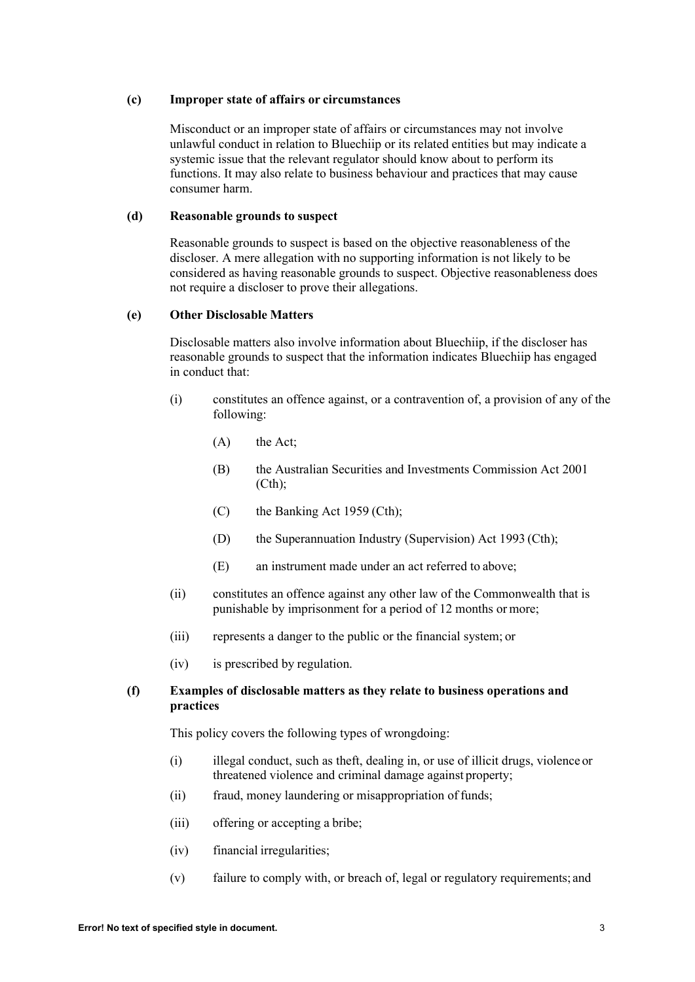# **(c) Improper state of affairs or circumstances**

Misconduct or an improper state of affairs or circumstances may not involve unlawful conduct in relation to Bluechiip or its related entities but may indicate a systemic issue that the relevant regulator should know about to perform its functions. It may also relate to business behaviour and practices that may cause consumer harm.

# **(d) Reasonable grounds to suspect**

Reasonable grounds to suspect is based on the objective reasonableness of the discloser. A mere allegation with no supporting information is not likely to be considered as having reasonable grounds to suspect. Objective reasonableness does not require a discloser to prove their allegations.

# **(e) Other Disclosable Matters**

Disclosable matters also involve information about Bluechiip, if the discloser has reasonable grounds to suspect that the information indicates Bluechiip has engaged in conduct that:

- (i) constitutes an offence against, or a contravention of, a provision of any of the following:
	- (A) the Act;
	- (B) the Australian Securities and Investments Commission Act 2001 (Cth);
	- (C) the Banking Act 1959 (Cth);
	- (D) the Superannuation Industry (Supervision) Act 1993 (Cth);
	- (E) an instrument made under an act referred to above;
- (ii) constitutes an offence against any other law of the Commonwealth that is punishable by imprisonment for a period of 12 months or more;
- (iii) represents a danger to the public or the financial system; or
- (iv) is prescribed by regulation.

# **(f) Examples of disclosable matters as they relate to business operations and practices**

This policy covers the following types of wrongdoing:

- (i) illegal conduct, such as theft, dealing in, or use of illicit drugs, violence or threatened violence and criminal damage against property;
- (ii) fraud, money laundering or misappropriation of funds;
- (iii) offering or accepting a bribe;
- (iv) financial irregularities;
- (v) failure to comply with, or breach of, legal or regulatory requirements; and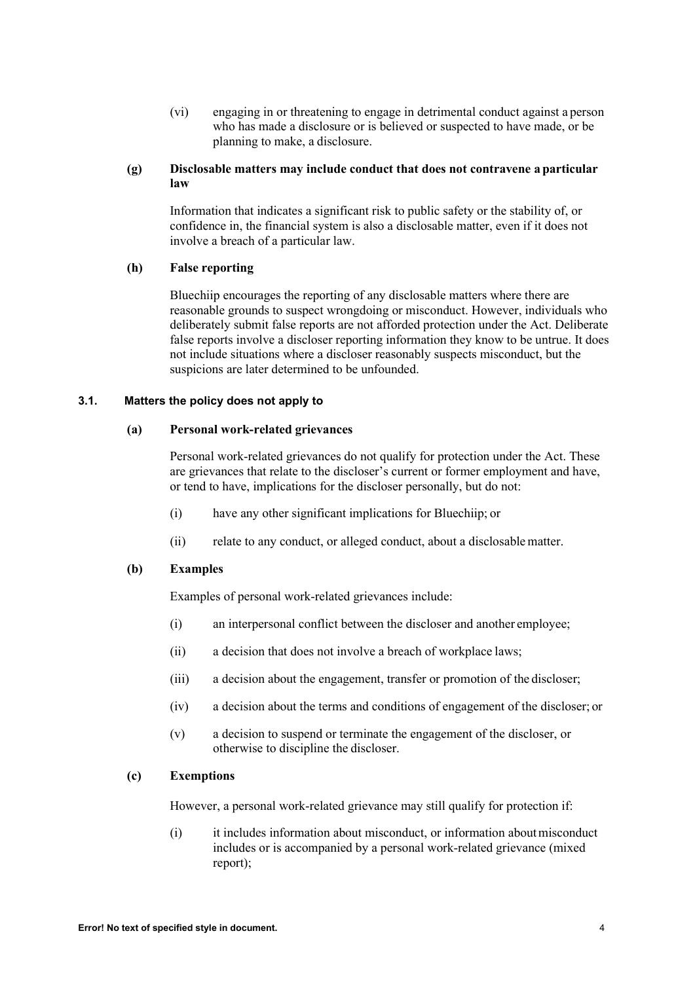(vi) engaging in or threatening to engage in detrimental conduct against a person who has made a disclosure or is believed or suspected to have made, or be planning to make, a disclosure.

# **(g) Disclosable matters may include conduct that does not contravene a particular law**

Information that indicates a significant risk to public safety or the stability of, or confidence in, the financial system is also a disclosable matter, even if it does not involve a breach of a particular law.

# **(h) False reporting**

Bluechiip encourages the reporting of any disclosable matters where there are reasonable grounds to suspect wrongdoing or misconduct. However, individuals who deliberately submit false reports are not afforded protection under the Act. Deliberate false reports involve a discloser reporting information they know to be untrue. It does not include situations where a discloser reasonably suspects misconduct, but the suspicions are later determined to be unfounded.

# **3.1. Matters the policy does not apply to**

# **(a) Personal work-related grievances**

Personal work-related grievances do not qualify for protection under the Act. These are grievances that relate to the discloser's current or former employment and have, or tend to have, implications for the discloser personally, but do not:

- (i) have any other significant implications for Bluechiip; or
- (ii) relate to any conduct, or alleged conduct, about a disclosablematter.

# **(b) Examples**

Examples of personal work-related grievances include:

- (i) an interpersonal conflict between the discloser and another employee;
- (ii) a decision that does not involve a breach of workplace laws;
- (iii) a decision about the engagement, transfer or promotion of the discloser;
- (iv) a decision about the terms and conditions of engagement of the discloser; or
- (v) a decision to suspend or terminate the engagement of the discloser, or otherwise to discipline the discloser.

# **(c) Exemptions**

However, a personal work-related grievance may still qualify for protection if:

(i) it includes information about misconduct, or information aboutmisconduct includes or is accompanied by a personal work-related grievance (mixed report);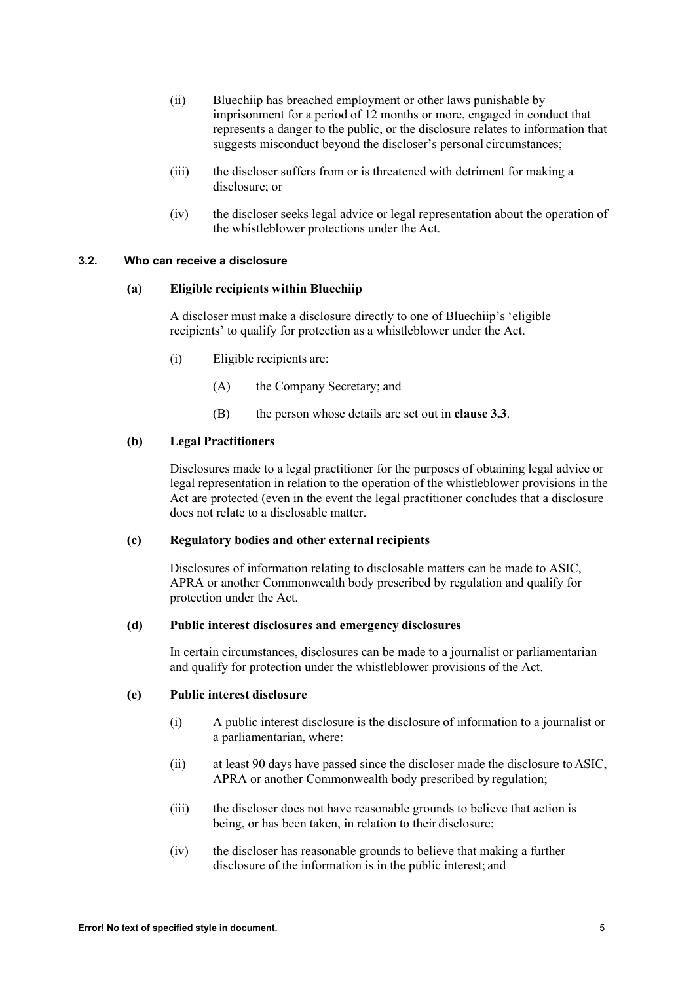- (ii) Bluechiip has breached employment or other laws punishable by imprisonment for a period of 12 months or more, engaged in conduct that represents a danger to the public, or the disclosure relates to information that suggests misconduct beyond the discloser's personal circumstances;
- (iii) the discloser suffers from or is threatened with detriment for making a disclosure; or
- (iv) the discloser seeks legal advice or legal representation about the operation of the whistleblower protections under the Act.

#### **3.2. Who can receive a disclosure**

#### **(a) Eligible recipients within Bluechiip**

A discloser must make a disclosure directly to one of Bluechiip's 'eligible recipients' to qualify for protection as a whistleblower under the Act.

- (i) Eligible recipients are:
	- (A) the Company Secretary; and
	- (B) the person whose details are set out in **clause 3.3**.

#### **(b) Legal Practitioners**

Disclosures made to a legal practitioner for the purposes of obtaining legal advice or legal representation in relation to the operation of the whistleblower provisions in the Act are protected (even in the event the legal practitioner concludes that a disclosure does not relate to a disclosable matter.

#### **(c) Regulatory bodies and other external recipients**

Disclosures of information relating to disclosable matters can be made to ASIC, APRA or another Commonwealth body prescribed by regulation and qualify for protection under the Act.

#### **(d) Public interest disclosures and emergency disclosures**

In certain circumstances, disclosures can be made to a journalist or parliamentarian and qualify for protection under the whistleblower provisions of the Act.

# **(e) Public interest disclosure**

- (i) A public interest disclosure is the disclosure of information to a journalist or a parliamentarian, where:
- (ii) at least 90 days have passed since the discloser made the disclosure to ASIC, APRA or another Commonwealth body prescribed by regulation;
- (iii) the discloser does not have reasonable grounds to believe that action is being, or has been taken, in relation to their disclosure;
- (iv) the discloser has reasonable grounds to believe that making a further disclosure of the information is in the public interest; and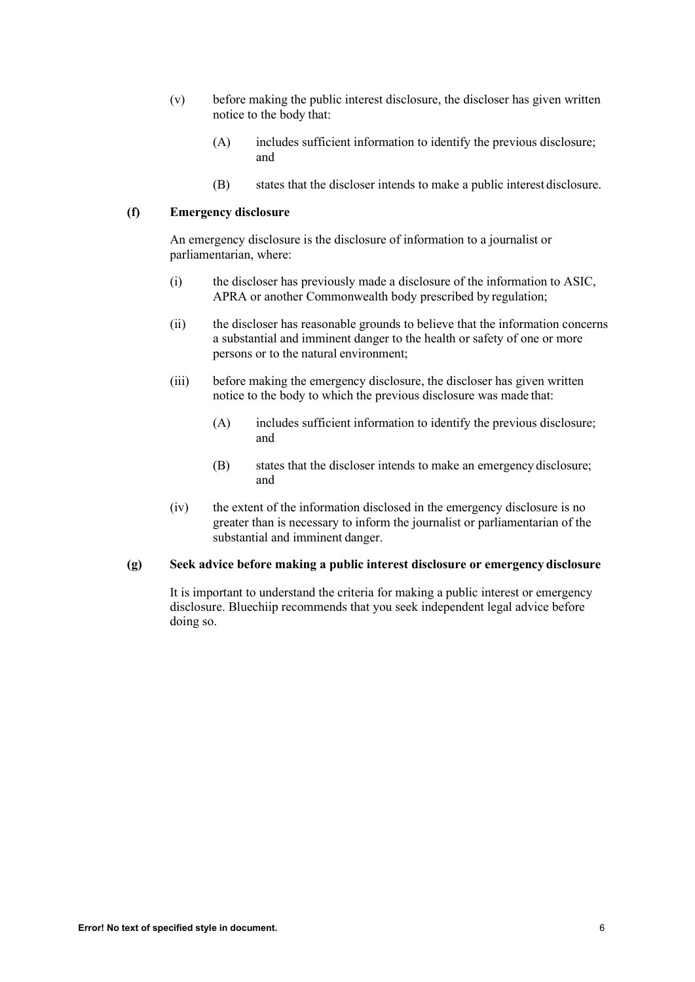- (v) before making the public interest disclosure, the discloser has given written notice to the body that:
	- (A) includes sufficient information to identify the previous disclosure; and
	- (B) states that the discloser intends to make a public interest disclosure.

# **(f) Emergency disclosure**

An emergency disclosure is the disclosure of information to a journalist or parliamentarian, where:

- (i) the discloser has previously made a disclosure of the information to ASIC, APRA or another Commonwealth body prescribed by regulation;
- (ii) the discloser has reasonable grounds to believe that the information concerns a substantial and imminent danger to the health or safety of one or more persons or to the natural environment;
- (iii) before making the emergency disclosure, the discloser has given written notice to the body to which the previous disclosure was made that:
	- (A) includes sufficient information to identify the previous disclosure; and
	- (B) states that the discloser intends to make an emergency disclosure; and
- (iv) the extent of the information disclosed in the emergency disclosure is no greater than is necessary to inform the journalist or parliamentarian of the substantial and imminent danger.

#### **(g) Seek advice before making a public interest disclosure or emergency disclosure**

It is important to understand the criteria for making a public interest or emergency disclosure. Bluechiip recommends that you seek independent legal advice before doing so.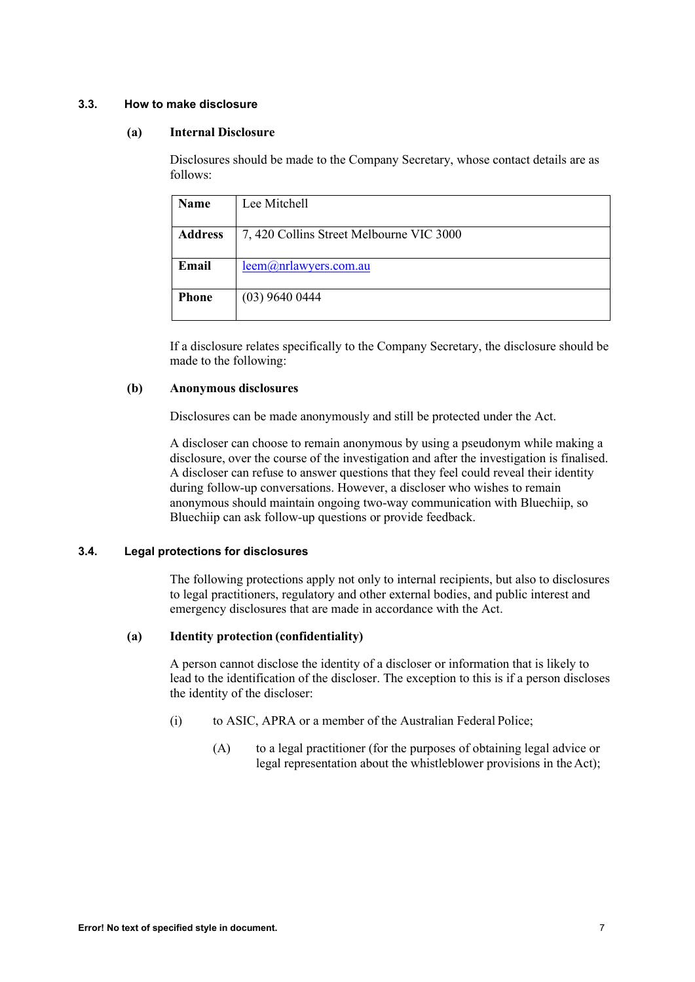# **3.3. How to make disclosure**

#### **(a) Internal Disclosure**

Disclosures should be made to the Company Secretary, whose contact details are as follows:

| Name           | Lee Mitchell                             |
|----------------|------------------------------------------|
| <b>Address</b> | 7, 420 Collins Street Melbourne VIC 3000 |
| Email          | leem@nrlawyers.com.au                    |
| <b>Phone</b>   | $(03)$ 9640 0444                         |

If a disclosure relates specifically to the Company Secretary, the disclosure should be made to the following:

# **(b) Anonymous disclosures**

Disclosures can be made anonymously and still be protected under the Act.

A discloser can choose to remain anonymous by using a pseudonym while making a disclosure, over the course of the investigation and after the investigation is finalised. A discloser can refuse to answer questions that they feel could reveal their identity during follow-up conversations. However, a discloser who wishes to remain anonymous should maintain ongoing two-way communication with Bluechiip, so Bluechiip can ask follow-up questions or provide feedback.

#### **3.4. Legal protections for disclosures**

The following protections apply not only to internal recipients, but also to disclosures to legal practitioners, regulatory and other external bodies, and public interest and emergency disclosures that are made in accordance with the Act.

# **(a) Identity protection (confidentiality)**

A person cannot disclose the identity of a discloser or information that is likely to lead to the identification of the discloser. The exception to this is if a person discloses the identity of the discloser:

- (i) to ASIC, APRA or a member of the Australian Federal Police;
	- (A) to a legal practitioner (for the purposes of obtaining legal advice or legal representation about the whistleblower provisions in the Act);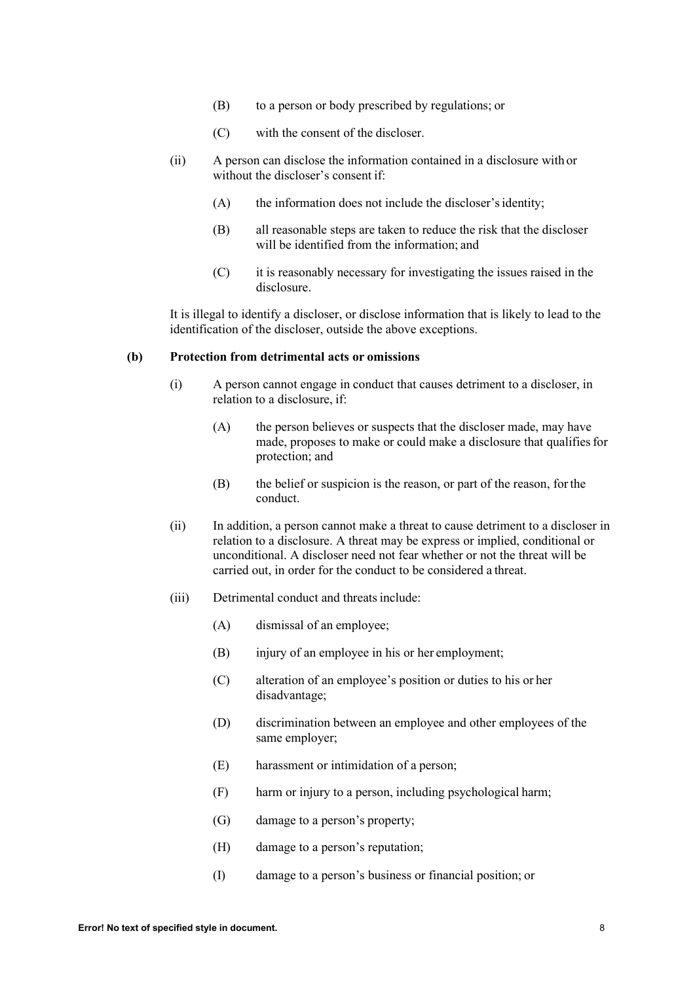- (B) to a person or body prescribed by regulations; or
- (C) with the consent of the discloser.
- (ii) A person can disclose the information contained in a disclosure with or without the discloser's consent if:
	- (A) the information does not include the discloser'sidentity;
	- (B) all reasonable steps are taken to reduce the risk that the discloser will be identified from the information; and
	- (C) it is reasonably necessary for investigating the issues raised in the disclosure.

It is illegal to identify a discloser, or disclose information that is likely to lead to the identification of the discloser, outside the above exceptions.

# **(b) Protection from detrimental acts or omissions**

- (i) A person cannot engage in conduct that causes detriment to a discloser, in relation to a disclosure, if:
	- (A) the person believes or suspects that the discloser made, may have made, proposes to make or could make a disclosure that qualifies for protection; and
	- (B) the belief or suspicion is the reason, or part of the reason, forthe conduct.
- (ii) In addition, a person cannot make a threat to cause detriment to a discloser in relation to a disclosure. A threat may be express or implied, conditional or unconditional. A discloser need not fear whether or not the threat will be carried out, in order for the conduct to be considered a threat.
- (iii) Detrimental conduct and threats include:
	- (A) dismissal of an employee;
	- (B) injury of an employee in his or her employment;
	- (C) alteration of an employee's position or duties to his or her disadvantage;
	- (D) discrimination between an employee and other employees of the same employer;
	- (E) harassment or intimidation of a person;
	- (F) harm or injury to a person, including psychological harm;
	- (G) damage to a person's property;
	- (H) damage to a person's reputation;
	- (I) damage to a person's business or financial position; or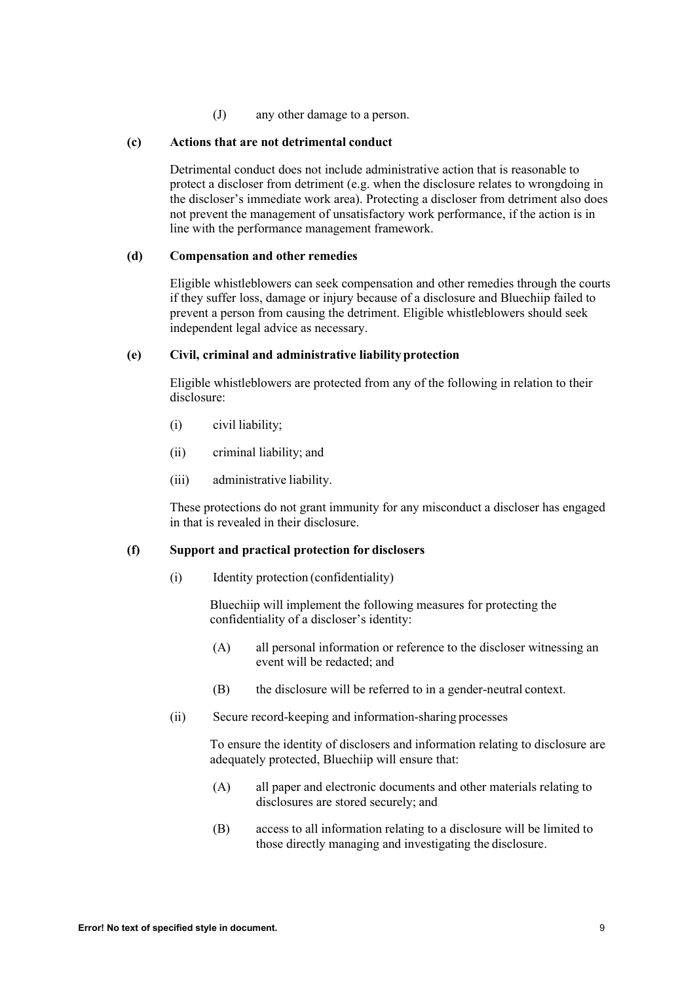(J) any other damage to a person.

# **(c) Actions that are not detrimental conduct**

Detrimental conduct does not include administrative action that is reasonable to protect a discloser from detriment (e.g. when the disclosure relates to wrongdoing in the discloser's immediate work area). Protecting a discloser from detriment also does not prevent the management of unsatisfactory work performance, if the action is in line with the performance management framework.

# **(d) Compensation and other remedies**

Eligible whistleblowers can seek compensation and other remedies through the courts if they suffer loss, damage or injury because of a disclosure and Bluechiip failed to prevent a person from causing the detriment. Eligible whistleblowers should seek independent legal advice as necessary.

## **(e) Civil, criminal and administrative liabilityprotection**

Eligible whistleblowers are protected from any of the following in relation to their disclosure:

- (i) civil liability;
- (ii) criminal liability; and
- (iii) administrative liability.

These protections do not grant immunity for any misconduct a discloser has engaged in that is revealed in their disclosure.

# **(f) Support and practical protection for disclosers**

(i) Identity protection (confidentiality)

Bluechiip will implement the following measures for protecting the confidentiality of a discloser's identity:

- (A) all personal information or reference to the discloser witnessing an event will be redacted; and
- (B) the disclosure will be referred to in a gender-neutral context.
- (ii) Secure record-keeping and information-sharing processes

To ensure the identity of disclosers and information relating to disclosure are adequately protected, Bluechiip will ensure that:

- (A) all paper and electronic documents and other materials relating to disclosures are stored securely; and
- (B) access to all information relating to a disclosure will be limited to those directly managing and investigating the disclosure.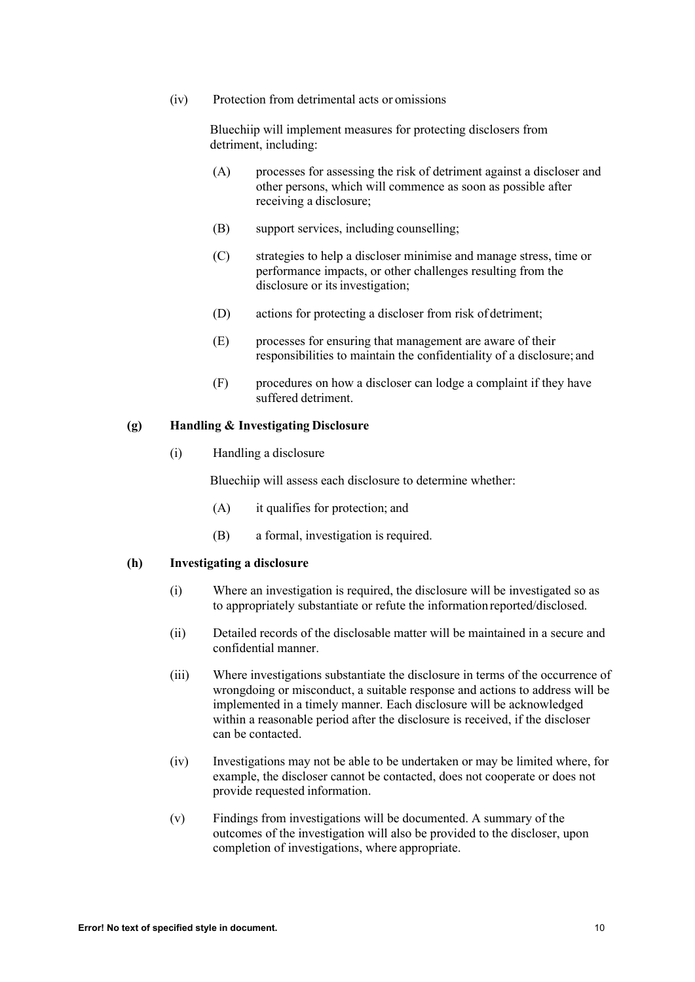(iv) Protection from detrimental acts or omissions

Bluechiip will implement measures for protecting disclosers from detriment, including:

- (A) processes for assessing the risk of detriment against a discloser and other persons, which will commence as soon as possible after receiving a disclosure;
- (B) support services, including counselling;
- (C) strategies to help a discloser minimise and manage stress, time or performance impacts, or other challenges resulting from the disclosure or its investigation;
- (D) actions for protecting a discloser from risk of detriment;
- (E) processes for ensuring that management are aware of their responsibilities to maintain the confidentiality of a disclosure; and
- (F) procedures on how a discloser can lodge a complaint if they have suffered detriment.

# **(g) Handling & Investigating Disclosure**

(i) Handling a disclosure

Bluechiip will assess each disclosure to determine whether:

- (A) it qualifies for protection; and
- (B) a formal, investigation is required.

#### **(h) Investigating a disclosure**

- (i) Where an investigation is required, the disclosure will be investigated so as to appropriately substantiate or refute the information reported/disclosed.
- (ii) Detailed records of the disclosable matter will be maintained in a secure and confidential manner.
- (iii) Where investigations substantiate the disclosure in terms of the occurrence of wrongdoing or misconduct, a suitable response and actions to address will be implemented in a timely manner. Each disclosure will be acknowledged within a reasonable period after the disclosure is received, if the discloser can be contacted.
- (iv) Investigations may not be able to be undertaken or may be limited where, for example, the discloser cannot be contacted, does not cooperate or does not provide requested information.
- (v) Findings from investigations will be documented. A summary of the outcomes of the investigation will also be provided to the discloser, upon completion of investigations, where appropriate.